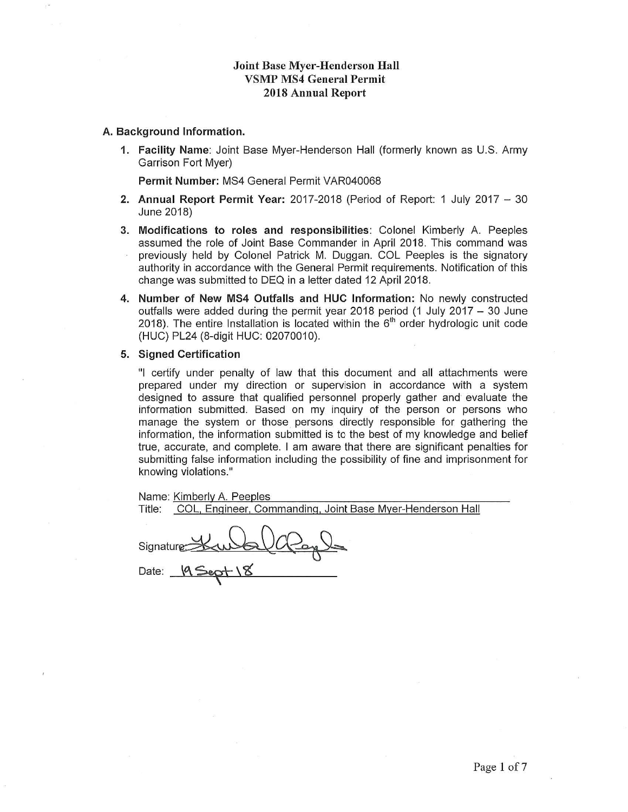#### **Joint Base Myer-Henderson Hall VSMP MS4 General Permit 2018 Annual Report**

#### A. Background Information.

1. Facility Name: Joint Base Myer-Henderson Hall (formerly known as U.S. Army Garrison Fort Myer)

Permit Number: MS4 General Permit VAR040068

- 2. Annual Report Permit Year: 2017-2018 (Period of Report: 1 July 2017 30 June 2018)
- 3. Modifications to roles and responsibilities: Colonel Kimberly A. Peeples assumed the role of Joint Base Commander in April 2018. This command was previously held by Colonel Patrick M. Duggan. COL Peeples is the signatory authority in accordance with the General Permit requirements. Notification of this change was submitted to DEQ in a letter dated 12 April 2018.
- 4. Number of New MS4 Outfalls and HUC Information: No newly constructed outfalls were added during the permit year 2018 period (1 July 2017  $-$  30 June 2018). The entire Installation is located within the  $6<sup>th</sup>$  order hydrologic unit code (HUC) PL24 (8-digit HUC: 02070010).

#### 5. Signed Certification

"I certify under penalty of law that this document and all attachments were prepared under my direction or supervision in accordance with a system designed to assure that qualified personnel properly gather and evaluate the information submitted. Based on my inquiry of the person or persons who manage the system or those persons directly responsible for gathering the information, the information submitted is to the best of my knowledge and belief true, accurate, and complete. I am aware that there are significant penalties for submitting false information including the possibility of fine and imprisonment for knowing violations."

| Name: Kimberly A. Peeples                                      |
|----------------------------------------------------------------|
| COL, Engineer, Commanding, Joint Base Myer-Henderson<br>Title: |
| Signature Kw & O<br>Date: 19 Sept 18                           |

Hall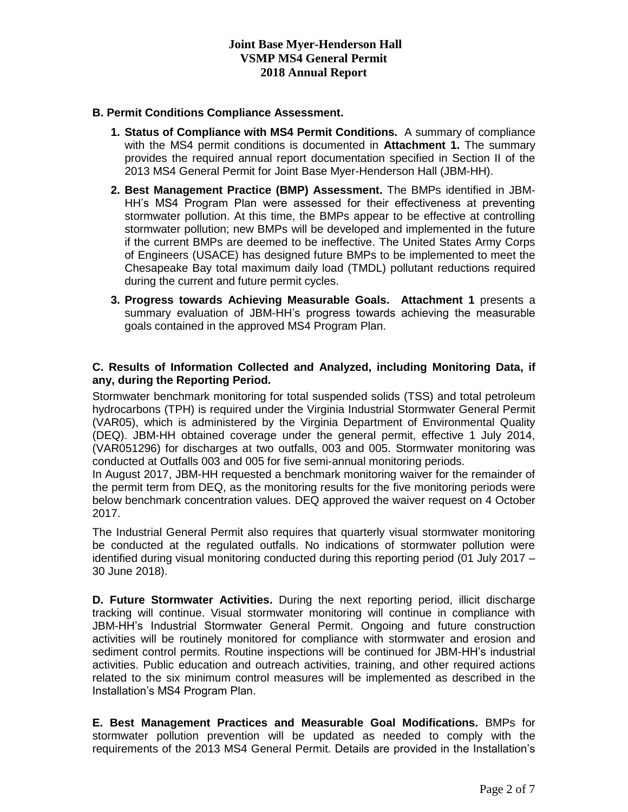#### **B. Permit Conditions Compliance Assessment.**

- **1. Status of Compliance with MS4 Permit Conditions.** A summary of compliance with the MS4 permit conditions is documented in **Attachment 1.** The summary provides the required annual report documentation specified in Section II of the 2013 MS4 General Permit for Joint Base Myer-Henderson Hall (JBM-HH).
- **2. Best Management Practice (BMP) Assessment.** The BMPs identified in JBM-HH's MS4 Program Plan were assessed for their effectiveness at preventing stormwater pollution. At this time, the BMPs appear to be effective at controlling stormwater pollution; new BMPs will be developed and implemented in the future if the current BMPs are deemed to be ineffective. The United States Army Corps of Engineers (USACE) has designed future BMPs to be implemented to meet the Chesapeake Bay total maximum daily load (TMDL) pollutant reductions required during the current and future permit cycles.
- **3. Progress towards Achieving Measurable Goals. Attachment 1** presents a summary evaluation of JBM-HH's progress towards achieving the measurable goals contained in the approved MS4 Program Plan.

#### **C. Results of Information Collected and Analyzed, including Monitoring Data, if any, during the Reporting Period.**

Stormwater benchmark monitoring for total suspended solids (TSS) and total petroleum hydrocarbons (TPH) is required under the Virginia Industrial Stormwater General Permit (VAR05), which is administered by the Virginia Department of Environmental Quality (DEQ). JBM-HH obtained coverage under the general permit, effective 1 July 2014, (VAR051296) for discharges at two outfalls, 003 and 005. Stormwater monitoring was conducted at Outfalls 003 and 005 for five semi-annual monitoring periods.

In August 2017, JBM-HH requested a benchmark monitoring waiver for the remainder of the permit term from DEQ, as the monitoring results for the five monitoring periods were below benchmark concentration values. DEQ approved the waiver request on 4 October 2017.

The Industrial General Permit also requires that quarterly visual stormwater monitoring be conducted at the regulated outfalls. No indications of stormwater pollution were identified during visual monitoring conducted during this reporting period (01 July 2017 – 30 June 2018).

**D. Future Stormwater Activities.** During the next reporting period, illicit discharge tracking will continue. Visual stormwater monitoring will continue in compliance with JBM-HH's Industrial Stormwater General Permit. Ongoing and future construction activities will be routinely monitored for compliance with stormwater and erosion and sediment control permits. Routine inspections will be continued for JBM-HH's industrial activities. Public education and outreach activities, training, and other required actions related to the six minimum control measures will be implemented as described in the Installation's MS4 Program Plan.

**E. Best Management Practices and Measurable Goal Modifications.** BMPs for stormwater pollution prevention will be updated as needed to comply with the requirements of the 2013 MS4 General Permit. Details are provided in the Installation's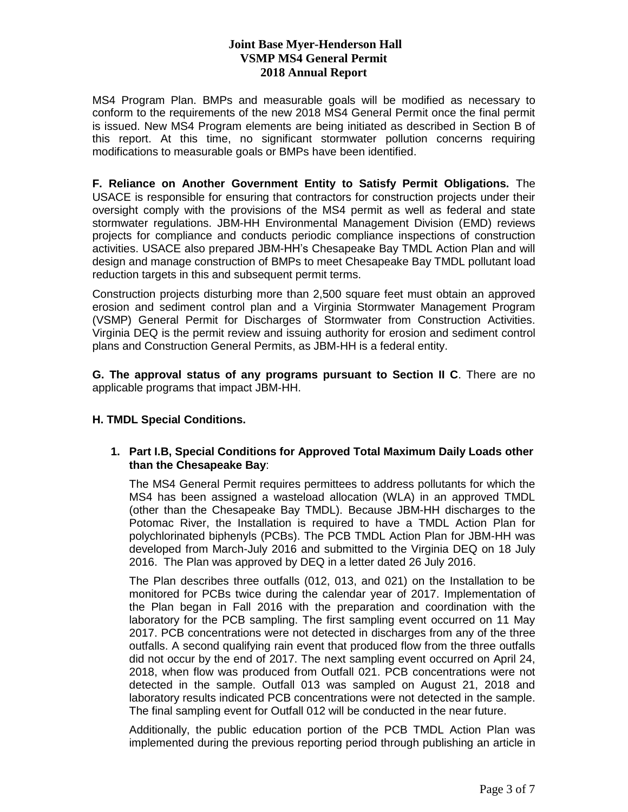## **Joint Base Myer-Henderson Hall VSMP MS4 General Permit 2018 Annual Report**

MS4 Program Plan. BMPs and measurable goals will be modified as necessary to conform to the requirements of the new 2018 MS4 General Permit once the final permit is issued. New MS4 Program elements are being initiated as described in Section B of this report. At this time, no significant stormwater pollution concerns requiring modifications to measurable goals or BMPs have been identified.

**F. Reliance on Another Government Entity to Satisfy Permit Obligations.** The USACE is responsible for ensuring that contractors for construction projects under their oversight comply with the provisions of the MS4 permit as well as federal and state stormwater regulations. JBM-HH Environmental Management Division (EMD) reviews projects for compliance and conducts periodic compliance inspections of construction activities. USACE also prepared JBM-HH's Chesapeake Bay TMDL Action Plan and will design and manage construction of BMPs to meet Chesapeake Bay TMDL pollutant load reduction targets in this and subsequent permit terms.

Construction projects disturbing more than 2,500 square feet must obtain an approved erosion and sediment control plan and a Virginia Stormwater Management Program (VSMP) General Permit for Discharges of Stormwater from Construction Activities. Virginia DEQ is the permit review and issuing authority for erosion and sediment control plans and Construction General Permits, as JBM-HH is a federal entity.

**G. The approval status of any programs pursuant to Section II C**. There are no applicable programs that impact JBM-HH.

### **H. TMDL Special Conditions.**

### **1. Part I.B, Special Conditions for Approved Total Maximum Daily Loads other than the Chesapeake Bay**:

The MS4 General Permit requires permittees to address pollutants for which the MS4 has been assigned a wasteload allocation (WLA) in an approved TMDL (other than the Chesapeake Bay TMDL). Because JBM-HH discharges to the Potomac River, the Installation is required to have a TMDL Action Plan for polychlorinated biphenyls (PCBs). The PCB TMDL Action Plan for JBM-HH was developed from March-July 2016 and submitted to the Virginia DEQ on 18 July 2016. The Plan was approved by DEQ in a letter dated 26 July 2016.

The Plan describes three outfalls (012, 013, and 021) on the Installation to be monitored for PCBs twice during the calendar year of 2017. Implementation of the Plan began in Fall 2016 with the preparation and coordination with the laboratory for the PCB sampling. The first sampling event occurred on 11 May 2017. PCB concentrations were not detected in discharges from any of the three outfalls. A second qualifying rain event that produced flow from the three outfalls did not occur by the end of 2017. The next sampling event occurred on April 24, 2018, when flow was produced from Outfall 021. PCB concentrations were not detected in the sample. Outfall 013 was sampled on August 21, 2018 and laboratory results indicated PCB concentrations were not detected in the sample. The final sampling event for Outfall 012 will be conducted in the near future.

Additionally, the public education portion of the PCB TMDL Action Plan was implemented during the previous reporting period through publishing an article in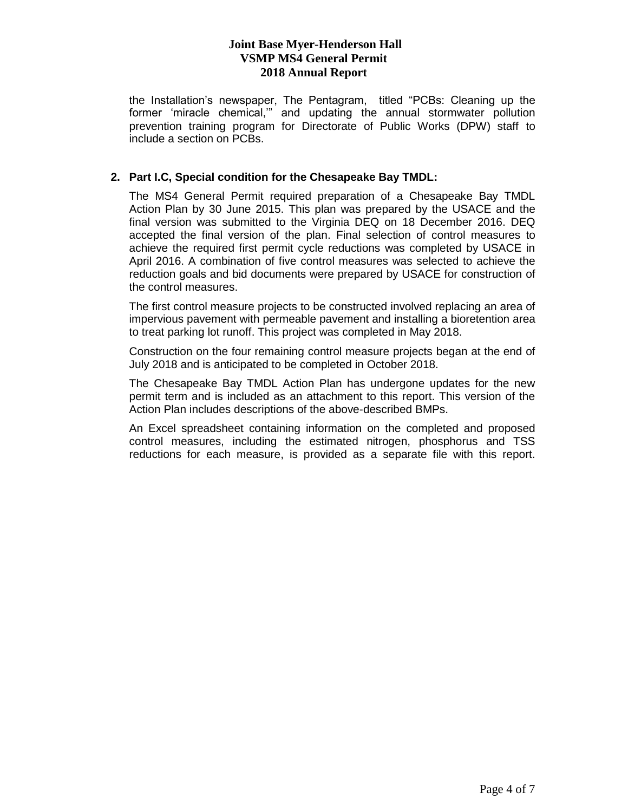# **Joint Base Myer-Henderson Hall VSMP MS4 General Permit 2018 Annual Report**

the Installation's newspaper, The Pentagram, titled "PCBs: Cleaning up the former 'miracle chemical,'" and updating the annual stormwater pollution prevention training program for Directorate of Public Works (DPW) staff to include a section on PCBs.

## **2. Part I.C, Special condition for the Chesapeake Bay TMDL:**

The MS4 General Permit required preparation of a Chesapeake Bay TMDL Action Plan by 30 June 2015. This plan was prepared by the USACE and the final version was submitted to the Virginia DEQ on 18 December 2016. DEQ accepted the final version of the plan. Final selection of control measures to achieve the required first permit cycle reductions was completed by USACE in April 2016. A combination of five control measures was selected to achieve the reduction goals and bid documents were prepared by USACE for construction of the control measures.

The first control measure projects to be constructed involved replacing an area of impervious pavement with permeable pavement and installing a bioretention area to treat parking lot runoff. This project was completed in May 2018.

Construction on the four remaining control measure projects began at the end of July 2018 and is anticipated to be completed in October 2018.

The Chesapeake Bay TMDL Action Plan has undergone updates for the new permit term and is included as an attachment to this report. This version of the Action Plan includes descriptions of the above-described BMPs.

An Excel spreadsheet containing information on the completed and proposed control measures, including the estimated nitrogen, phosphorus and TSS reductions for each measure, is provided as a separate file with this report.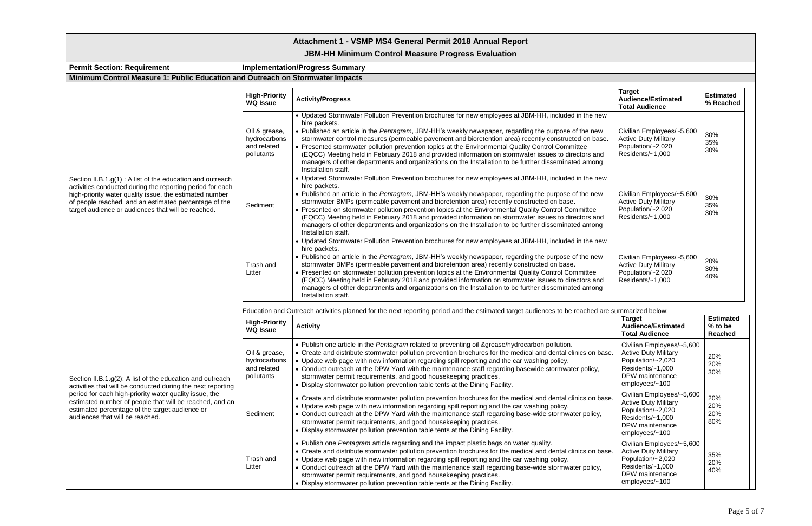| Attachment 1 - VSMP MS4 General Permit 2018 Annual Report                                                                                                                                                                                                                                                                          |                                                            |                                                                                                                                                                                                                                                                                                                                                                                                                                                                                                                                                                                                                                                                                  |                                                                                                                                        |                                        |  |  |  |
|------------------------------------------------------------------------------------------------------------------------------------------------------------------------------------------------------------------------------------------------------------------------------------------------------------------------------------|------------------------------------------------------------|----------------------------------------------------------------------------------------------------------------------------------------------------------------------------------------------------------------------------------------------------------------------------------------------------------------------------------------------------------------------------------------------------------------------------------------------------------------------------------------------------------------------------------------------------------------------------------------------------------------------------------------------------------------------------------|----------------------------------------------------------------------------------------------------------------------------------------|----------------------------------------|--|--|--|
| <b>JBM-HH Minimum Control Measure Progress Evaluation</b>                                                                                                                                                                                                                                                                          |                                                            |                                                                                                                                                                                                                                                                                                                                                                                                                                                                                                                                                                                                                                                                                  |                                                                                                                                        |                                        |  |  |  |
| <b>Permit Section: Requirement</b>                                                                                                                                                                                                                                                                                                 |                                                            | <b>Implementation/Progress Summary</b>                                                                                                                                                                                                                                                                                                                                                                                                                                                                                                                                                                                                                                           |                                                                                                                                        |                                        |  |  |  |
| Minimum Control Measure 1: Public Education and Outreach on Stormwater Impacts                                                                                                                                                                                                                                                     |                                                            |                                                                                                                                                                                                                                                                                                                                                                                                                                                                                                                                                                                                                                                                                  |                                                                                                                                        |                                        |  |  |  |
|                                                                                                                                                                                                                                                                                                                                    | <b>High-Priority</b><br><b>WQ Issue</b>                    | <b>Activity/Progress</b>                                                                                                                                                                                                                                                                                                                                                                                                                                                                                                                                                                                                                                                         | <b>Target</b><br><b>Audience/Estimated</b><br><b>Total Audience</b>                                                                    | <b>Estimated</b><br>% Reached          |  |  |  |
|                                                                                                                                                                                                                                                                                                                                    | Oil & grease,<br>hydrocarbons<br>and related<br>pollutants | • Updated Stormwater Pollution Prevention brochures for new employees at JBM-HH, included in the new<br>hire packets.<br>. Published an article in the Pentagram, JBM-HH's weekly newspaper, regarding the purpose of the new<br>stormwater control measures (permeable pavement and bioretention area) recently constructed on base.<br>• Presented stormwater pollution prevention topics at the Environmental Quality Control Committee<br>(EQCC) Meeting held in February 2018 and provided information on stormwater issues to directors and<br>managers of other departments and organizations on the Installation to be further disseminated among<br>Installation staff. | Civilian Employees/~5,600<br><b>Active Duty Military</b><br>Population/~2,020<br>Residents/~1,000                                      | 30%<br>35%<br>30%                      |  |  |  |
| Section II.B.1.g(1): A list of the education and outreach<br>activities conducted during the reporting period for each<br>high-priority water quality issue, the estimated number<br>of people reached, and an estimated percentage of the<br>target audience or audiences that will be reached.                                   | Sediment                                                   | • Updated Stormwater Pollution Prevention brochures for new employees at JBM-HH, included in the new<br>hire packets.<br>. Published an article in the Pentagram, JBM-HH's weekly newspaper, regarding the purpose of the new<br>stormwater BMPs (permeable pavement and bioretention area) recently constructed on base.<br>• Presented on stormwater pollution prevention topics at the Environmental Quality Control Committee<br>(EQCC) Meeting held in February 2018 and provided information on stormwater issues to directors and<br>managers of other departments and organizations on the Installation to be further disseminated among<br>Installation staff.          | Civilian Employees/~5,600<br><b>Active Duty Military</b><br>Population/~2,020<br>Residents/~1,000                                      | 30%<br>35%<br>30%                      |  |  |  |
|                                                                                                                                                                                                                                                                                                                                    | Trash and<br>Litter                                        | • Updated Stormwater Pollution Prevention brochures for new employees at JBM-HH, included in the new<br>hire packets.<br>. Published an article in the Pentagram, JBM-HH's weekly newspaper, regarding the purpose of the new<br>stormwater BMPs (permeable pavement and bioretention area) recently constructed on base.<br>• Presented on stormwater pollution prevention topics at the Environmental Quality Control Committee<br>(EQCC) Meeting held in February 2018 and provided information on stormwater issues to directors and<br>managers of other departments and organizations on the Installation to be further disseminated among<br>Installation staff.          | Civilian Employees/~5,600<br><b>Active Duty Military</b><br>Population/~2,020<br>Residents/~1,000                                      | 20%<br>30%<br>40%                      |  |  |  |
| Education and Outreach activities planned for the next reporting period and the estimated target audiences to be reached are summarized below:                                                                                                                                                                                     |                                                            |                                                                                                                                                                                                                                                                                                                                                                                                                                                                                                                                                                                                                                                                                  |                                                                                                                                        |                                        |  |  |  |
| Section II.B.1.g(2): A list of the education and outreach<br>activities that will be conducted during the next reporting<br>period for each high-priority water quality issue, the<br>estimated number of people that will be reached, and an<br>estimated percentage of the target audience or<br>audiences that will be reached. | <b>High-Priority</b><br><b>WQ Issue</b>                    | <b>Activity</b>                                                                                                                                                                                                                                                                                                                                                                                                                                                                                                                                                                                                                                                                  | <b>Target</b><br><b>Audience/Estimated</b><br><b>Total Audience</b>                                                                    | <b>Estimated</b><br>% to be<br>Reached |  |  |  |
|                                                                                                                                                                                                                                                                                                                                    | Oil & grease,<br>hydrocarbons<br>and related<br>pollutants | . Publish one article in the Pentagram related to preventing oil &grease/hydrocarbon pollution.<br>• Create and distribute stormwater pollution prevention brochures for the medical and dental clinics on base.<br>• Update web page with new information regarding spill reporting and the car washing policy.<br>• Conduct outreach at the DPW Yard with the maintenance staff regarding basewide stormwater policy,<br>stormwater permit requirements, and good housekeeping practices.<br>• Display stormwater pollution prevention table tents at the Dining Facility.                                                                                                     | Civilian Employees/~5,600<br><b>Active Duty Military</b><br>Population/~2,020<br>Residents/~1,000<br>DPW maintenance<br>employees/~100 | 20%<br>20%<br>30%                      |  |  |  |
|                                                                                                                                                                                                                                                                                                                                    | Sediment                                                   | • Create and distribute stormwater pollution prevention brochures for the medical and dental clinics on base.<br>• Update web page with new information regarding spill reporting and the car washing policy.<br>• Conduct outreach at the DPW Yard with the maintenance staff regarding base-wide stormwater policy,<br>stormwater permit requirements, and good housekeeping practices.<br>• Display stormwater pollution prevention table tents at the Dining Facility.                                                                                                                                                                                                       | Civilian Employees/~5,600<br><b>Active Duty Military</b><br>Population/~2,020<br>Residents/~1,000<br>DPW maintenance<br>employees/~100 | 20%<br>20%<br>20%<br>80%               |  |  |  |
|                                                                                                                                                                                                                                                                                                                                    | Trash and<br>Litter                                        | . Publish one Pentagram article regarding and the impact plastic bags on water quality.<br>• Create and distribute stormwater pollution prevention brochures for the medical and dental clinics on base.<br>• Update web page with new information regarding spill reporting and the car washing policy.<br>• Conduct outreach at the DPW Yard with the maintenance staff regarding base-wide stormwater policy,<br>stormwater permit requirements, and good housekeeping practices.<br>• Display stormwater pollution prevention table tents at the Dining Facility.                                                                                                            | Civilian Employees/~5,600<br><b>Active Duty Military</b><br>Population/~2,020<br>Residents/~1,000<br>DPW maintenance<br>employees/~100 | 35%<br>20%<br>40%                      |  |  |  |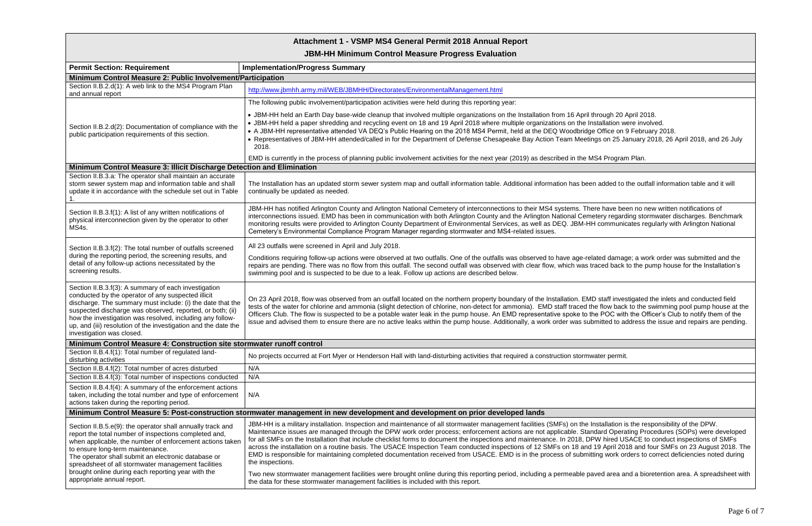# **Attachment 1 - VSMP MS4 General Permit 2018 Annual Report**

**JBM-HH Minimum Control Measure Progress Evaluation**

| <b>Permit Section: Requirement</b>                                                                                                                                                                                                                                                                                                                                                                | <b>Implementation/Progress Summary</b>                                                                                                                                                                                                                                                                                                                                                                                                                                                                                                                                                                                                                                                     |  |  |  |  |  |
|---------------------------------------------------------------------------------------------------------------------------------------------------------------------------------------------------------------------------------------------------------------------------------------------------------------------------------------------------------------------------------------------------|--------------------------------------------------------------------------------------------------------------------------------------------------------------------------------------------------------------------------------------------------------------------------------------------------------------------------------------------------------------------------------------------------------------------------------------------------------------------------------------------------------------------------------------------------------------------------------------------------------------------------------------------------------------------------------------------|--|--|--|--|--|
| Minimum Control Measure 2: Public Involvement/Participation                                                                                                                                                                                                                                                                                                                                       |                                                                                                                                                                                                                                                                                                                                                                                                                                                                                                                                                                                                                                                                                            |  |  |  |  |  |
| Section II.B.2.d(1): A web link to the MS4 Program Plan<br>and annual report                                                                                                                                                                                                                                                                                                                      | http://www.jbmhh.army.mil/WEB/JBMHH/Directorates/EnvironmentalManagement.html                                                                                                                                                                                                                                                                                                                                                                                                                                                                                                                                                                                                              |  |  |  |  |  |
|                                                                                                                                                                                                                                                                                                                                                                                                   | The following public involvement/participation activities were held during this reporting year:                                                                                                                                                                                                                                                                                                                                                                                                                                                                                                                                                                                            |  |  |  |  |  |
| Section II.B.2.d(2): Documentation of compliance with the<br>public participation requirements of this section.                                                                                                                                                                                                                                                                                   | • JBM-HH held an Earth Day base-wide cleanup that involved multiple organizations on the Installation from 16 April through 20 A<br>• JBM-HH held a paper shredding and recycling event on 18 and 19 April 2018 where multiple organizations on the Installation we<br>• A JBM-HH representative attended VA DEQ's Public Hearing on the 2018 MS4 Permit, held at the DEQ Woodbridge Office on 9<br>• Representatives of JBM-HH attended/called in for the Department of Defense Chesapeake Bay Action Team Meetings on 25 Ja<br>2018.                                                                                                                                                     |  |  |  |  |  |
|                                                                                                                                                                                                                                                                                                                                                                                                   | EMD is currently in the process of planning public involvement activities for the next year (2019) as described in the MS4 Program                                                                                                                                                                                                                                                                                                                                                                                                                                                                                                                                                         |  |  |  |  |  |
| Minimum Control Measure 3: Illicit Discharge Detection and Elimination                                                                                                                                                                                                                                                                                                                            |                                                                                                                                                                                                                                                                                                                                                                                                                                                                                                                                                                                                                                                                                            |  |  |  |  |  |
| Section II.B.3.a: The operator shall maintain an accurate<br>storm sewer system map and information table and shall<br>update it in accordance with the schedule set out in Table                                                                                                                                                                                                                 | The Installation has an updated storm sewer system map and outfall information table. Additional information has been added to tl<br>continually be updated as needed.                                                                                                                                                                                                                                                                                                                                                                                                                                                                                                                     |  |  |  |  |  |
| Section II.B.3.f(1): A list of any written notifications of<br>physical interconnection given by the operator to other<br>MS4s.                                                                                                                                                                                                                                                                   | JBM-HH has notified Arlington County and Arlington National Cemetery of interconnections to their MS4 systems. There have bee<br>interconnections issued. EMD has been in communication with both Arlington County and the Arlington National Cemetery regardi<br>monitoring results were provided to Arlington County Department of Environmental Services, as well as DEQ. JBM-HH communica<br>Cemetery's Environmental Compliance Program Manager regarding stormwater and MS4-related issues.                                                                                                                                                                                          |  |  |  |  |  |
|                                                                                                                                                                                                                                                                                                                                                                                                   | All 23 outfalls were screened in April and July 2018.                                                                                                                                                                                                                                                                                                                                                                                                                                                                                                                                                                                                                                      |  |  |  |  |  |
| Section II.B.3.f(2): The total number of outfalls screened<br>during the reporting period, the screening results, and<br>detail of any follow-up actions necessitated by the<br>screening results.                                                                                                                                                                                                | Conditions requiring follow-up actions were observed at two outfalls. One of the outfalls was observed to have age-related damage<br>repairs are pending. There was no flow from this outfall. The second outfall was observed with clear flow, which was traced back to<br>swimming pool and is suspected to be due to a leak. Follow up actions are described below.                                                                                                                                                                                                                                                                                                                     |  |  |  |  |  |
| Section II.B.3.f(3): A summary of each investigation<br>conducted by the operator of any suspected illicit<br>discharge. The summary must include: (i) the date that the<br>suspected discharge was observed, reported, or both; (ii)<br>how the investigation was resolved, including any follow-<br>up, and (iii) resolution of the investigation and the date the<br>investigation was closed. | On 23 April 2018, flow was observed from an outfall located on the northern property boundary of the Installation. EMD staff invest<br>tests of the water for chlorine and ammonia (slight detection of chlorine, non-detect for ammonia). EMD staff traced the flow back<br>Officers Club. The flow is suspected to be a potable water leak in the pump house. An EMD representative spoke to the POC with<br>issue and advised them to ensure there are no active leaks within the pump house. Additionally, a work order was submitted to ad                                                                                                                                            |  |  |  |  |  |
| Minimum Control Measure 4: Construction site stormwater runoff control                                                                                                                                                                                                                                                                                                                            |                                                                                                                                                                                                                                                                                                                                                                                                                                                                                                                                                                                                                                                                                            |  |  |  |  |  |
| Section II.B.4.f(1): Total number of regulated land-<br>disturbing activities                                                                                                                                                                                                                                                                                                                     | No projects occurred at Fort Myer or Henderson Hall with land-disturbing activities that required a construction stormwater permit.                                                                                                                                                                                                                                                                                                                                                                                                                                                                                                                                                        |  |  |  |  |  |
| Section II.B.4.f(2): Total number of acres disturbed                                                                                                                                                                                                                                                                                                                                              | N/A                                                                                                                                                                                                                                                                                                                                                                                                                                                                                                                                                                                                                                                                                        |  |  |  |  |  |
| Section II.B.4.f(3): Total number of inspections conducted                                                                                                                                                                                                                                                                                                                                        | N/A                                                                                                                                                                                                                                                                                                                                                                                                                                                                                                                                                                                                                                                                                        |  |  |  |  |  |
| Section II.B.4.f(4): A summary of the enforcement actions<br>taken, including the total number and type of enforcement<br>actions taken during the reporting period.                                                                                                                                                                                                                              | N/A                                                                                                                                                                                                                                                                                                                                                                                                                                                                                                                                                                                                                                                                                        |  |  |  |  |  |
| Minimum Control Measure 5: Post-construction stormwater management in new development and development on prior developed lands                                                                                                                                                                                                                                                                    |                                                                                                                                                                                                                                                                                                                                                                                                                                                                                                                                                                                                                                                                                            |  |  |  |  |  |
| Section II.B.5.e(9): the operator shall annually track and<br>report the total number of inspections completed and,<br>when applicable, the number of enforcement actions taken<br>to ensure long-term maintenance.<br>The operator shall submit an electronic database or<br>spreadsheet of all stormwater management facilities<br>brought online during each reporting year with the           | JBM-HH is a military installation. Inspection and maintenance of all stormwater management facilities (SMFs) on the Installation is<br>Maintenance issues are managed through the DPW work order process; enforcement actions are not applicable. Standard Operat<br>for all SMFs on the Installation that include checklist forms to document the inspections and maintenance. In 2018, DPW hired US<br>across the installation on a routine basis. The USACE Inspection Team conducted inspections of 12 SMFs on 18 and 19 April 201<br>EMD is responsible for maintaining completed documentation received from USACE. EMD is in the process of submitting work ord<br>the inspections. |  |  |  |  |  |
| appropriate annual report.                                                                                                                                                                                                                                                                                                                                                                        | Two new stormwater management facilities were brought online during this reporting period, including a permeable paved area an<br>the data for these stormwater management facilities is included with this report.                                                                                                                                                                                                                                                                                                                                                                                                                                                                        |  |  |  |  |  |

In an Earth Day base-wide cleans and the procent procent procent procent multiple contactions on the Instituto stallation were involved. Office on 9 February 2018. gs on 25 January 2018, 26 April 2018, and 26 July

64 Program Plan.

added to the outfall information table and it will

re have been no new written notifications of tery regarding stormwater discharges. Benchmark I communicates regularly with Arlington National

ated damage; a work order was submitted and the aced back to the pump house for the Installation's

staff investigated the inlets and conducted field e flow back to the swimming pool pump house at the e POC with the Officer's Club to notify them of the mitted to address the issue and repairs are pending.

istallation is the responsibility of the DPW. dard Operating Procedures (SOPs) were developed W hired USACE to conduct inspections of SMFs 19 April 2018 and four SMFs on 23 August 2018. The ing work orders to correct deficiencies noted during

ved area and a bioretention area. A spreadsheet with